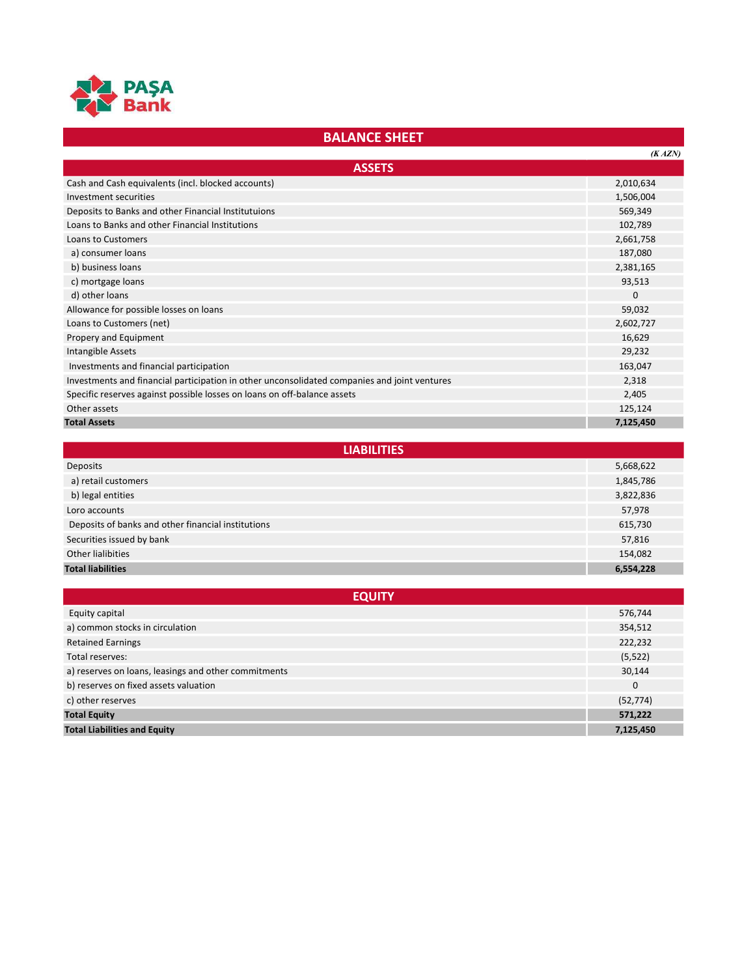

## BALANCE SHEET

|                                                                                              | (KAZN)    |
|----------------------------------------------------------------------------------------------|-----------|
| <b>ASSETS</b>                                                                                |           |
| Cash and Cash equivalents (incl. blocked accounts)                                           | 2,010,634 |
| Investment securities                                                                        | 1,506,004 |
| Deposits to Banks and other Financial Institutuions                                          | 569,349   |
| Loans to Banks and other Financial Institutions                                              | 102,789   |
| <b>Loans to Customers</b>                                                                    | 2,661,758 |
| a) consumer loans                                                                            | 187,080   |
| b) business loans                                                                            | 2,381,165 |
| c) mortgage loans                                                                            | 93,513    |
| d) other loans                                                                               | $\Omega$  |
| Allowance for possible losses on loans                                                       | 59,032    |
| Loans to Customers (net)                                                                     | 2,602,727 |
| Propery and Equipment                                                                        | 16,629    |
| Intangible Assets                                                                            | 29,232    |
| Investments and financial participation                                                      | 163,047   |
| Investments and financial participation in other unconsolidated companies and joint ventures | 2,318     |
| Specific reserves against possible losses on loans on off-balance assets                     | 2,405     |
| Other assets                                                                                 | 125,124   |
| <b>Total Assets</b>                                                                          | 7,125,450 |

| <b>LIABILITIES</b>                                 |           |  |
|----------------------------------------------------|-----------|--|
| Deposits                                           | 5,668,622 |  |
| a) retail customers                                | 1,845,786 |  |
| b) legal entities                                  | 3,822,836 |  |
| Loro accounts                                      | 57,978    |  |
| Deposits of banks and other financial institutions | 615,730   |  |
| Securities issued by bank                          | 57,816    |  |
| Other lialibities                                  | 154,082   |  |
| <b>Total liabilities</b>                           | 6,554,228 |  |

| <b>EQUITY</b>                                        |           |  |
|------------------------------------------------------|-----------|--|
| Equity capital                                       | 576,744   |  |
| a) common stocks in circulation                      | 354,512   |  |
| <b>Retained Earnings</b>                             | 222,232   |  |
| Total reserves:                                      | (5, 522)  |  |
| a) reserves on loans, leasings and other commitments | 30,144    |  |
| b) reserves on fixed assets valuation                | 0         |  |
| c) other reserves                                    | (52, 774) |  |
| <b>Total Equity</b>                                  | 571,222   |  |
| <b>Total Liabilities and Equity</b>                  | 7,125,450 |  |